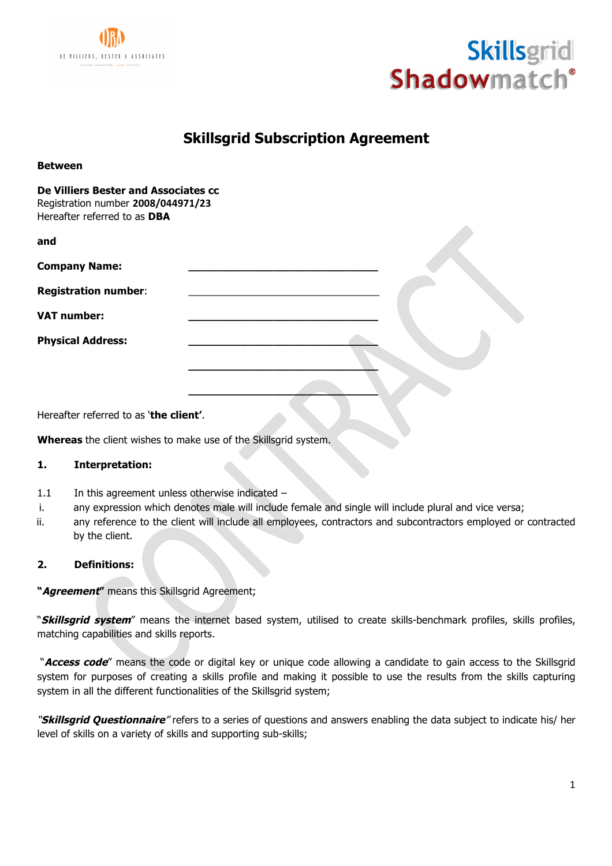



# **Skillsgrid Subscription Agreement**

**De Villiers Bester and Associates cc** Registration number **2008/044971/23** Hereafter referred to as **DBA**

| and                                                                              |  |
|----------------------------------------------------------------------------------|--|
| <b>Company Name:</b>                                                             |  |
| <b>Registration number:</b>                                                      |  |
| <b>VAT number:</b>                                                               |  |
| <b>Physical Address:</b>                                                         |  |
| $\mathbf{r}$ and $\mathbf{r}$ and $\mathbf{r}$ and $\mathbf{r}$ and $\mathbf{r}$ |  |

Hereafter referred to as '**the client'**.

**Whereas** the client wishes to make use of the Skillsgrid system.

# **1. Interpretation:**

- 1.1 In this agreement unless otherwise indicated  $-$
- i. any expression which denotes male will include female and single will include plural and vice versa;
- ii. any reference to the client will include all employees, contractors and subcontractors employed or contracted by the client.

# **2. Definitions:**

**"Agreement"** means this Skillsgrid Agreement;

"**Skillsgrid system**" means the internet based system, utilised to create skills-benchmark profiles, skills profiles, matching capabilities and skills reports.

"**Access code**" means the code or digital key or unique code allowing a candidate to gain access to the Skillsgrid system for purposes of creating a skills profile and making it possible to use the results from the skills capturing system in all the different functionalities of the Skillsgrid system;

"**Skillsgrid Questionnaire**" refers to a series of questions and answers enabling the data subject to indicate his/ her level of skills on a variety of skills and supporting sub-skills;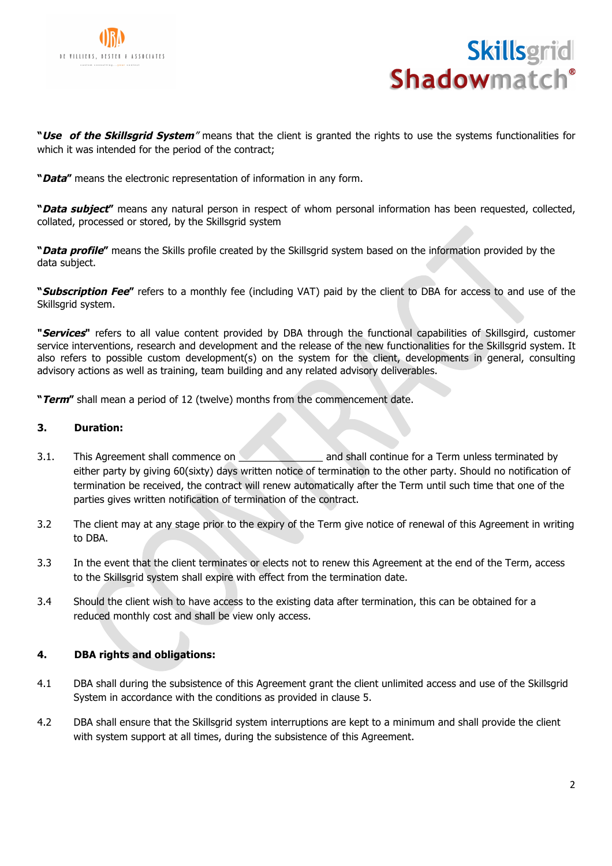



**"Use of the Skillsgrid System**" means that the client is granted the rights to use the systems functionalities for which it was intended for the period of the contract;

**"Data"** means the electronic representation of information in any form.

**"Data subject"** means any natural person in respect of whom personal information has been requested, collected, collated, processed or stored, by the Skillsgrid system

**"Data profile"** means the Skills profile created by the Skillsgrid system based on the information provided by the data subject.

**"Subscription Fee"** refers to a monthly fee (including VAT) paid by the client to DBA for access to and use of the Skillsgrid system.

**"Services"** refers to all value content provided by DBA through the functional capabilities of Skillsgird, customer service interventions, research and development and the release of the new functionalities for the Skillsgrid system. It also refers to possible custom development(s) on the system for the client, developments in general, consulting advisory actions as well as training, team building and any related advisory deliverables.

**"Term"** shall mean a period of 12 (twelve) months from the commencement date.

#### **3. Duration:**

- 3.1. This Agreement shall commence on **Example 2.1.** and shall continue for a Term unless terminated by either party by giving 60(sixty) days written notice of termination to the other party. Should no notification of termination be received, the contract will renew automatically after the Term until such time that one of the parties gives written notification of termination of the contract.
- 3.2 The client may at any stage prior to the expiry of the Term give notice of renewal of this Agreement in writing to DBA.
- 3.3 In the event that the client terminates or elects not to renew this Agreement at the end of the Term, access to the Skillsgrid system shall expire with effect from the termination date.
- 3.4 Should the client wish to have access to the existing data after termination, this can be obtained for a reduced monthly cost and shall be view only access.

# **4. DBA rights and obligations:**

- 4.1 DBA shall during the subsistence of this Agreement grant the client unlimited access and use of the Skillsgrid System in accordance with the conditions as provided in clause 5.
- 4.2 DBA shall ensure that the Skillsgrid system interruptions are kept to a minimum and shall provide the client with system support at all times, during the subsistence of this Agreement.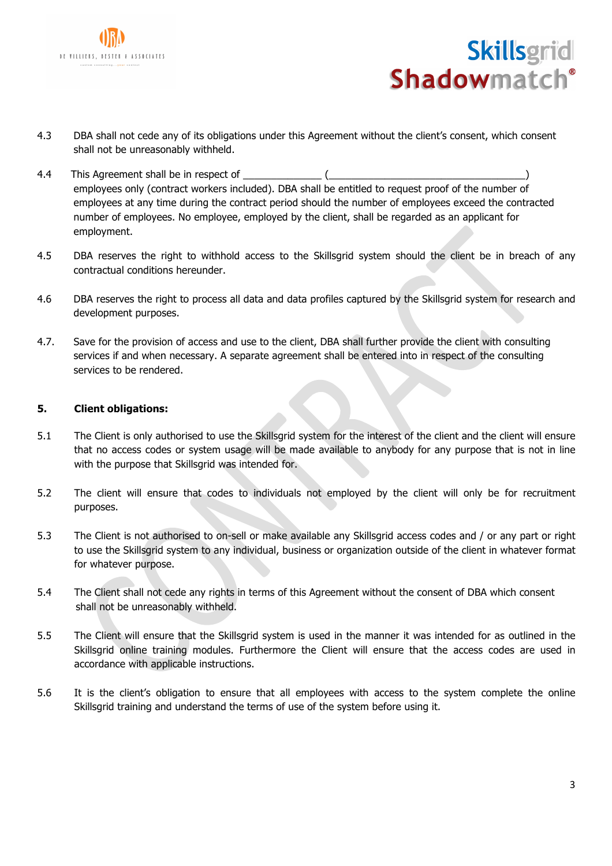



- 4.3 DBA shall not cede any of its obligations under this Agreement without the client's consent, which consent shall not be unreasonably withheld.
- 4.4 This Agreement shall be in respect of \_\_\_\_\_\_\_\_\_\_\_\_\_\_ (\_\_\_\_\_\_\_\_\_\_\_\_\_\_\_\_\_\_\_\_\_\_\_\_\_\_\_\_\_\_\_\_\_\_\_) employees only (contract workers included). DBA shall be entitled to request proof of the number of employees at any time during the contract period should the number of employees exceed the contracted number of employees. No employee, employed by the client, shall be regarded as an applicant for employment.
- 4.5 DBA reserves the right to withhold access to the Skillsgrid system should the client be in breach of any contractual conditions hereunder.
- 4.6 DBA reserves the right to process all data and data profiles captured by the Skillsgrid system for research and development purposes.
- 4.7. Save for the provision of access and use to the client, DBA shall further provide the client with consulting services if and when necessary. A separate agreement shall be entered into in respect of the consulting services to be rendered.

# **5. Client obligations:**

- 5.1 The Client is only authorised to use the Skillsgrid system for the interest of the client and the client will ensure that no access codes or system usage will be made available to anybody for any purpose that is not in line with the purpose that Skillsgrid was intended for.
- 5.2 The client will ensure that codes to individuals not employed by the client will only be for recruitment purposes.
- 5.3 The Client is not authorised to on-sell or make available any Skillsgrid access codes and / or any part or right to use the Skillsgrid system to any individual, business or organization outside of the client in whatever format for whatever purpose.
- 5.4 The Client shall not cede any rights in terms of this Agreement without the consent of DBA which consent shall not be unreasonably withheld.
- 5.5 The Client will ensure that the Skillsgrid system is used in the manner it was intended for as outlined in the Skillsgrid online training modules. Furthermore the Client will ensure that the access codes are used in accordance with applicable instructions.
- 5.6 It is the client's obligation to ensure that all employees with access to the system complete the online Skillsgrid training and understand the terms of use of the system before using it.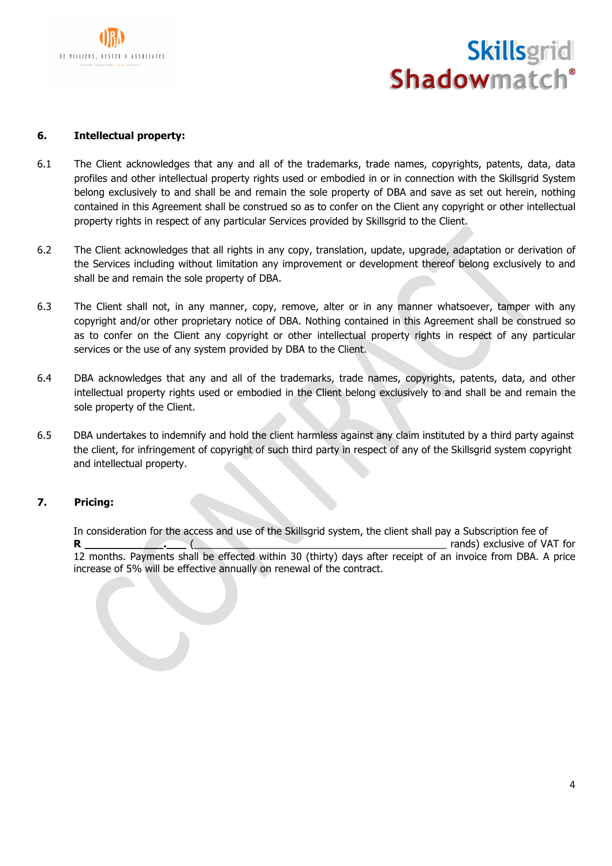



#### **6. Intellectual property:**

- 6.1 The Client acknowledges that any and all of the trademarks, trade names, copyrights, patents, data, data profiles and other intellectual property rights used or embodied in or in connection with the Skillsgrid System belong exclusively to and shall be and remain the sole property of DBA and save as set out herein, nothing contained in this Agreement shall be construed so as to confer on the Client any copyright or other intellectual property rights in respect of any particular Services provided by Skillsgrid to the Client.
- 6.2 The Client acknowledges that all rights in any copy, translation, update, upgrade, adaptation or derivation of the Services including without limitation any improvement or development thereof belong exclusively to and shall be and remain the sole property of DBA.
- 6.3 The Client shall not, in any manner, copy, remove, alter or in any manner whatsoever, tamper with any copyright and/or other proprietary notice of DBA. Nothing contained in this Agreement shall be construed so as to confer on the Client any copyright or other intellectual property rights in respect of any particular services or the use of any system provided by DBA to the Client.
- 6.4 DBA acknowledges that any and all of the trademarks, trade names, copyrights, patents, data, and other intellectual property rights used or embodied in the Client belong exclusively to and shall be and remain the sole property of the Client.
- 6.5 DBA undertakes to indemnify and hold the client harmless against any claim instituted by a third party against the client, for infringement of copyright of such third party in respect of any of the Skillsgrid system copyright and intellectual property.

### **7. Pricing:**

In consideration for the access and use of the Skillsgrid system, the client shall pay a Subscription fee of **R \_\_\_\_\_\_\_\_\_\_\_\_.\_\_\_** (\_\_\_\_\_\_\_\_\_\_\_\_\_\_\_\_\_\_\_\_\_\_\_\_\_\_\_\_\_\_\_\_\_\_\_\_\_\_\_\_\_\_\_\_\_ rands) exclusive of VAT for 12 months. Payments shall be effected within 30 (thirty) days after receipt of an invoice from DBA. A price increase of 5% will be effective annually on renewal of the contract.